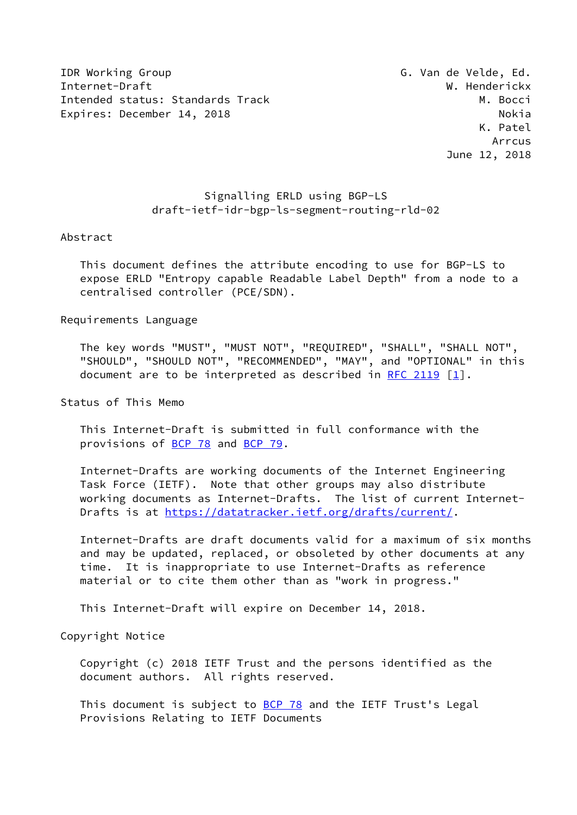IDR Working Group G. Van de Velde, Ed. Internet-Draft W. Henderickx Intended status: Standards Track M. Bocci Expires: December 14, 2018 Nokia

# Signalling ERLD using BGP-LS draft-ietf-idr-bgp-ls-segment-routing-rld-02

#### Abstract

 This document defines the attribute encoding to use for BGP-LS to expose ERLD "Entropy capable Readable Label Depth" from a node to a centralised controller (PCE/SDN).

Requirements Language

 The key words "MUST", "MUST NOT", "REQUIRED", "SHALL", "SHALL NOT", "SHOULD", "SHOULD NOT", "RECOMMENDED", "MAY", and "OPTIONAL" in this document are to be interpreted as described in [RFC 2119](https://datatracker.ietf.org/doc/pdf/rfc2119)  $[1]$  $[1]$ .

Status of This Memo

 This Internet-Draft is submitted in full conformance with the provisions of [BCP 78](https://datatracker.ietf.org/doc/pdf/bcp78) and [BCP 79](https://datatracker.ietf.org/doc/pdf/bcp79).

 Internet-Drafts are working documents of the Internet Engineering Task Force (IETF). Note that other groups may also distribute working documents as Internet-Drafts. The list of current Internet- Drafts is at<https://datatracker.ietf.org/drafts/current/>.

 Internet-Drafts are draft documents valid for a maximum of six months and may be updated, replaced, or obsoleted by other documents at any time. It is inappropriate to use Internet-Drafts as reference material or to cite them other than as "work in progress."

This Internet-Draft will expire on December 14, 2018.

Copyright Notice

 Copyright (c) 2018 IETF Trust and the persons identified as the document authors. All rights reserved.

This document is subject to **[BCP 78](https://datatracker.ietf.org/doc/pdf/bcp78)** and the IETF Trust's Legal Provisions Relating to IETF Documents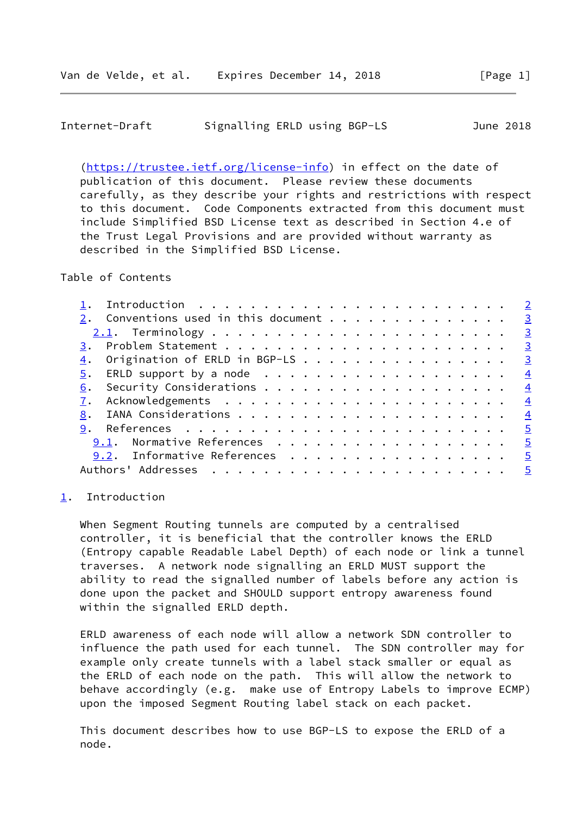<span id="page-1-1"></span>

| Internet-Draft | Signalling ERLD using BGP-LS |  | June 2018 |
|----------------|------------------------------|--|-----------|
|                |                              |  |           |

 [\(https://trustee.ietf.org/license-info](https://trustee.ietf.org/license-info)) in effect on the date of publication of this document. Please review these documents carefully, as they describe your rights and restrictions with respect to this document. Code Components extracted from this document must include Simplified BSD License text as described in Section 4.e of the Trust Legal Provisions and are provided without warranty as described in the Simplified BSD License.

Table of Contents

| Introduction $\cdots \cdots \cdots \cdots \cdots \cdots \cdots \cdots \cdots$ |               |
|-------------------------------------------------------------------------------|---------------|
| 2. Conventions used in this document 3                                        |               |
|                                                                               |               |
|                                                                               |               |
| 4. Origination of ERLD in BGP-LS 3                                            |               |
|                                                                               | $\frac{4}{3}$ |
| 6.                                                                            | $\frac{4}{3}$ |
|                                                                               | $\frac{4}{1}$ |
| 8.                                                                            |               |
|                                                                               |               |
| $9.1$ . Normative References 5                                                |               |
| 9.2. Informative References 5                                                 |               |
|                                                                               |               |
|                                                                               |               |

### <span id="page-1-0"></span>[1](#page-1-0). Introduction

 When Segment Routing tunnels are computed by a centralised controller, it is beneficial that the controller knows the ERLD (Entropy capable Readable Label Depth) of each node or link a tunnel traverses. A network node signalling an ERLD MUST support the ability to read the signalled number of labels before any action is done upon the packet and SHOULD support entropy awareness found within the signalled ERLD depth.

 ERLD awareness of each node will allow a network SDN controller to influence the path used for each tunnel. The SDN controller may for example only create tunnels with a label stack smaller or equal as the ERLD of each node on the path. This will allow the network to behave accordingly (e.g. make use of Entropy Labels to improve ECMP) upon the imposed Segment Routing label stack on each packet.

 This document describes how to use BGP-LS to expose the ERLD of a node.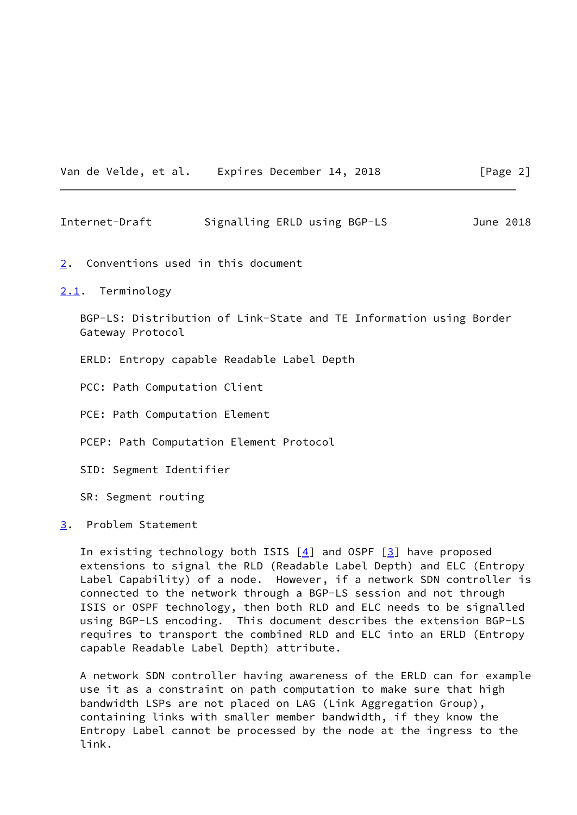Van de Velde, et al. Expires December 14, 2018 [Page 2]

<span id="page-2-1"></span>Internet-Draft Signalling ERLD using BGP-LS June 2018

- <span id="page-2-0"></span>[2](#page-2-0). Conventions used in this document
- <span id="page-2-2"></span>[2.1](#page-2-2). Terminology

 BGP-LS: Distribution of Link-State and TE Information using Border Gateway Protocol

- ERLD: Entropy capable Readable Label Depth
- PCC: Path Computation Client
- PCE: Path Computation Element
- PCEP: Path Computation Element Protocol
- SID: Segment Identifier

SR: Segment routing

<span id="page-2-3"></span>[3](#page-2-3). Problem Statement

In existing technology both ISIS  $[4]$  and OSPF  $[3]$  $[3]$  have proposed extensions to signal the RLD (Readable Label Depth) and ELC (Entropy Label Capability) of a node. However, if a network SDN controller is connected to the network through a BGP-LS session and not through ISIS or OSPF technology, then both RLD and ELC needs to be signalled using BGP-LS encoding. This document describes the extension BGP-LS requires to transport the combined RLD and ELC into an ERLD (Entropy capable Readable Label Depth) attribute.

 A network SDN controller having awareness of the ERLD can for example use it as a constraint on path computation to make sure that high bandwidth LSPs are not placed on LAG (Link Aggregation Group), containing links with smaller member bandwidth, if they know the Entropy Label cannot be processed by the node at the ingress to the link.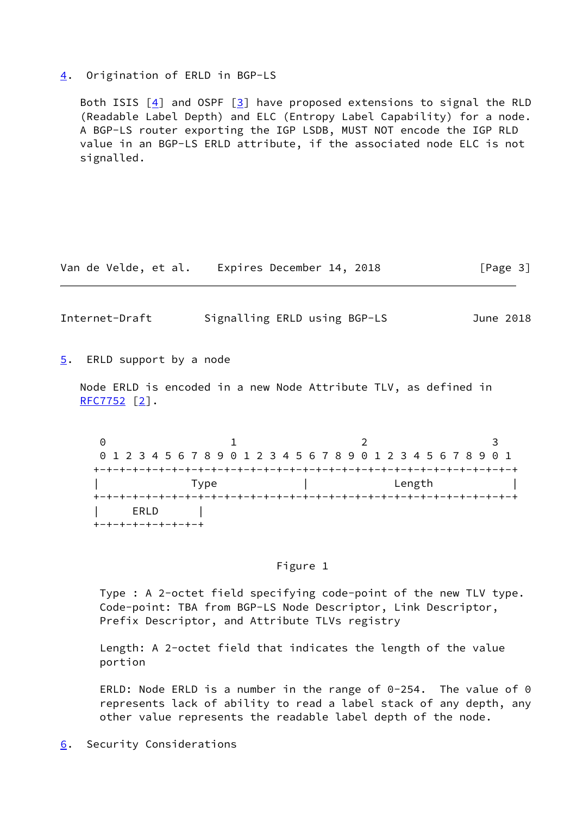#### <span id="page-3-0"></span>[4](#page-3-0). Origination of ERLD in BGP-LS

Both ISIS  $[4]$  $[4]$  and OSPF  $[3]$  $[3]$  have proposed extensions to signal the RLD (Readable Label Depth) and ELC (Entropy Label Capability) for a node. A BGP-LS router exporting the IGP LSDB, MUST NOT encode the IGP RLD value in an BGP-LS ERLD attribute, if the associated node ELC is not signalled.

Van de Velde, et al. Expires December 14, 2018 [Page 3]

<span id="page-3-2"></span>Internet-Draft Signalling ERLD using BGP-LS June 2018

<span id="page-3-1"></span>[5](#page-3-1). ERLD support by a node

 Node ERLD is encoded in a new Node Attribute TLV, as defined in [RFC7752](https://datatracker.ietf.org/doc/pdf/rfc7752) [\[2](#page-5-3)].

0 1 2 3 0 1 2 3 4 5 6 7 8 9 0 1 2 3 4 5 6 7 8 9 0 1 2 3 4 5 6 7 8 9 0 1 +-+-+-+-+-+-+-+-+-+-+-+-+-+-+-+-+-+-+-+-+-+-+-+-+-+-+-+-+-+-+-+-+ | Type | Length | +-+-+-+-+-+-+-+-+-+-+-+-+-+-+-+-+-+-+-+-+-+-+-+-+-+-+-+-+-+-+-+-+ | ERLD | +-+-+-+-+-+-+-+-+

## Figure 1

 Type : A 2-octet field specifying code-point of the new TLV type. Code-point: TBA from BGP-LS Node Descriptor, Link Descriptor, Prefix Descriptor, and Attribute TLVs registry

 Length: A 2-octet field that indicates the length of the value portion

 ERLD: Node ERLD is a number in the range of 0-254. The value of 0 represents lack of ability to read a label stack of any depth, any other value represents the readable label depth of the node.

<span id="page-3-3"></span>[6](#page-3-3). Security Considerations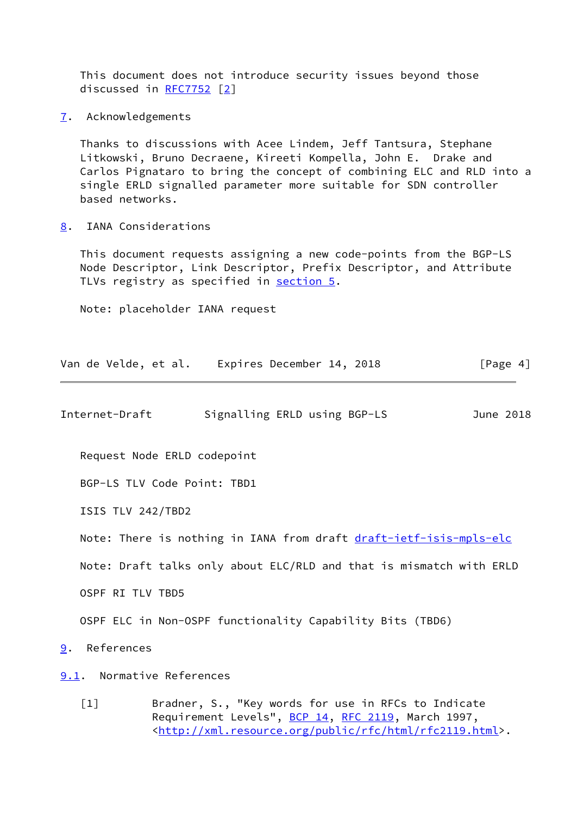This document does not introduce security issues beyond those discussed in [RFC7752](https://datatracker.ietf.org/doc/pdf/rfc7752) [\[2\]](#page-5-3)

<span id="page-4-1"></span>[7](#page-4-1). Acknowledgements

 Thanks to discussions with Acee Lindem, Jeff Tantsura, Stephane Litkowski, Bruno Decraene, Kireeti Kompella, John E. Drake and Carlos Pignataro to bring the concept of combining ELC and RLD into a single ERLD signalled parameter more suitable for SDN controller based networks.

<span id="page-4-2"></span>[8](#page-4-2). IANA Considerations

 This document requests assigning a new code-points from the BGP-LS Node Descriptor, Link Descriptor, Prefix Descriptor, and Attribute TLVs registry as specified in [section 5.](#page-3-1)

Note: placeholder IANA request

|  |  |  | Van de Velde, et al. |  | Expires December 14, 2018 |  | [Page 4] |
|--|--|--|----------------------|--|---------------------------|--|----------|
|--|--|--|----------------------|--|---------------------------|--|----------|

<span id="page-4-4"></span>Internet-Draft Signalling ERLD using BGP-LS June 2018

Request Node ERLD codepoint

BGP-LS TLV Code Point: TBD1

ISIS TLV 242/TBD2

Note: There is nothing in IANA from draft [draft-ietf-isis-mpls-elc](https://datatracker.ietf.org/doc/pdf/draft-ietf-isis-mpls-elc)

Note: Draft talks only about ELC/RLD and that is mismatch with ERLD

OSPF RI TLV TBD5

OSPF ELC in Non-OSPF functionality Capability Bits (TBD6)

<span id="page-4-3"></span>[9](#page-4-3). References

<span id="page-4-5"></span>[9.1](#page-4-5). Normative References

<span id="page-4-0"></span> [1] Bradner, S., "Key words for use in RFCs to Indicate Requirement Levels", [BCP 14](https://datatracker.ietf.org/doc/pdf/bcp14), [RFC 2119](https://datatracker.ietf.org/doc/pdf/rfc2119), March 1997, <[http://xml.resource.org/public/rfc/html/rfc2119.html>](http://xml.resource.org/public/rfc/html/rfc2119.html).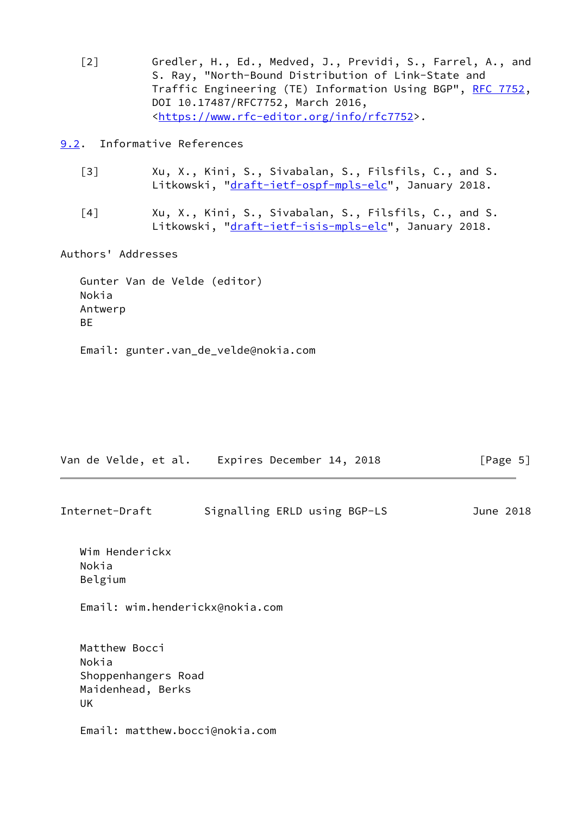<span id="page-5-3"></span> [2] Gredler, H., Ed., Medved, J., Previdi, S., Farrel, A., and S. Ray, "North-Bound Distribution of Link-State and Traffic Engineering (TE) Information Using BGP", [RFC 7752,](https://datatracker.ietf.org/doc/pdf/rfc7752) DOI 10.17487/RFC7752, March 2016, <[https://www.rfc-editor.org/info/rfc7752>](https://www.rfc-editor.org/info/rfc7752).

<span id="page-5-0"></span>[9.2](#page-5-0). Informative References

- <span id="page-5-2"></span> [3] Xu, X., Kini, S., Sivabalan, S., Filsfils, C., and S. Litkowski, "[draft-ietf-ospf-mpls-elc"](https://datatracker.ietf.org/doc/pdf/draft-ietf-ospf-mpls-elc), January 2018.
- <span id="page-5-1"></span> [4] Xu, X., Kini, S., Sivabalan, S., Filsfils, C., and S. Litkowski, "[draft-ietf-isis-mpls-elc"](https://datatracker.ietf.org/doc/pdf/draft-ietf-isis-mpls-elc), January 2018.

Authors' Addresses

 Gunter Van de Velde (editor) Nokia Antwerp BE

Email: gunter.van\_de\_velde@nokia.com

|                                                                          | Van de Velde, et al.    Expires December 14, 2018 | [Page $5$ ] |
|--------------------------------------------------------------------------|---------------------------------------------------|-------------|
| Internet-Draft                                                           | Signalling ERLD using BGP-LS                      | June 2018   |
| Wim Henderickx<br>Nokia<br>Belgium                                       |                                                   |             |
|                                                                          | Email: wim.henderickx@nokia.com                   |             |
| Matthew Bocci<br>Nokia<br>Shoppenhangers Road<br>Maidenhead, Berks<br>UK |                                                   |             |
| Email: matthew.bocci@nokia.com                                           |                                                   |             |